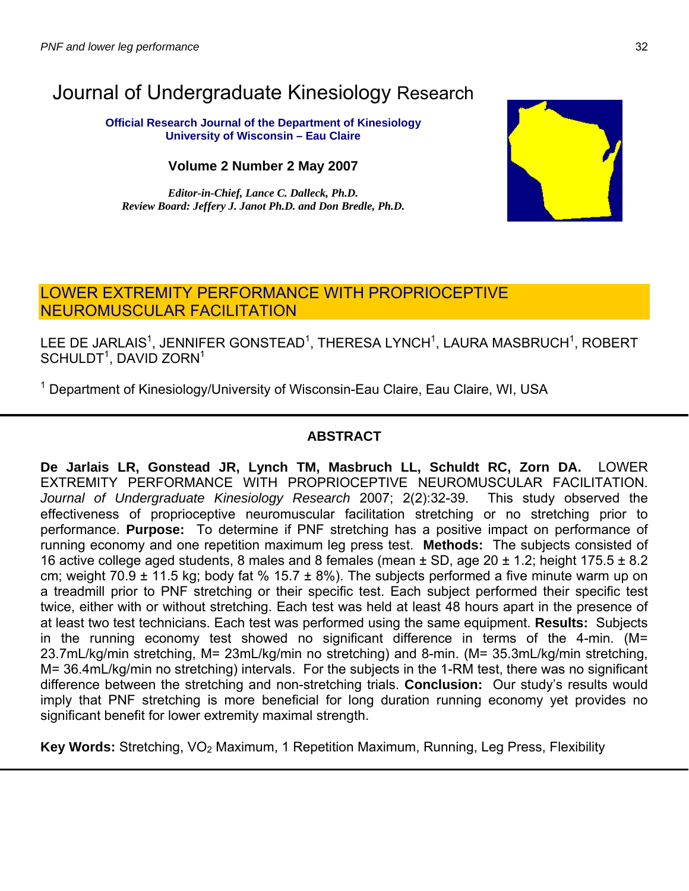# Journal of Undergraduate Kinesiology Research

**Official Research Journal of the Department of Kinesiology University of Wisconsin – Eau Claire**

**Volume 2 Number 2 May 2007** 

*Editor-in-Chief, Lance C. Dalleck, Ph.D. Review Board: Jeffery J. Janot Ph.D. and Don Bredle, Ph.D.* 



## LOWER EXTREMITY PERFORMANCE WITH PROPRIOCEPTIVE NEUROMUSCULAR FACILITATION

LEE DE JARLAIS $^{\rm 1}$ , JENNIFER GONSTEAD $^{\rm 1}$ , THERESA LYNCH $^{\rm 1}$ , LAURA MASBRUCH $^{\rm 1}$ , ROBERT  $SCHULDT<sup>1</sup>$ , DAVID ZORN<sup>1</sup>

<sup>1</sup> Department of Kinesiology/University of Wisconsin-Eau Claire, Eau Claire, WI, USA

### **ABSTRACT**

**De Jarlais LR, Gonstead JR, Lynch TM, Masbruch LL, Schuldt RC, Zorn DA.** LOWER EXTREMITY PERFORMANCE WITH PROPRIOCEPTIVE NEUROMUSCULAR FACILITATION. *Journal of Undergraduate Kinesiology Research* 2007; 2(2):32-39. This study observed the effectiveness of proprioceptive neuromuscular facilitation stretching or no stretching prior to performance. **Purpose:** To determine if PNF stretching has a positive impact on performance of running economy and one repetition maximum leg press test. **Methods:** The subjects consisted of 16 active college aged students, 8 males and 8 females (mean  $\pm$  SD, age 20  $\pm$  1.2; height 175.5  $\pm$  8.2 cm; weight 70.9  $\pm$  11.5 kg; body fat % 15.7  $\pm$  8%). The subjects performed a five minute warm up on a treadmill prior to PNF stretching or their specific test. Each subject performed their specific test twice, either with or without stretching. Each test was held at least 48 hours apart in the presence of at least two test technicians. Each test was performed using the same equipment. **Results:** Subjects in the running economy test showed no significant difference in terms of the 4-min. (M= 23.7mL/kg/min stretching, M= 23mL/kg/min no stretching) and 8-min. (M= 35.3mL/kg/min stretching, M= 36.4mL/kg/min no stretching) intervals. For the subjects in the 1-RM test, there was no significant difference between the stretching and non-stretching trials. **Conclusion:** Our study's results would imply that PNF stretching is more beneficial for long duration running economy yet provides no significant benefit for lower extremity maximal strength.

**Key Words:** Stretching, VO<sub>2</sub> Maximum, 1 Repetition Maximum, Running, Leg Press, Flexibility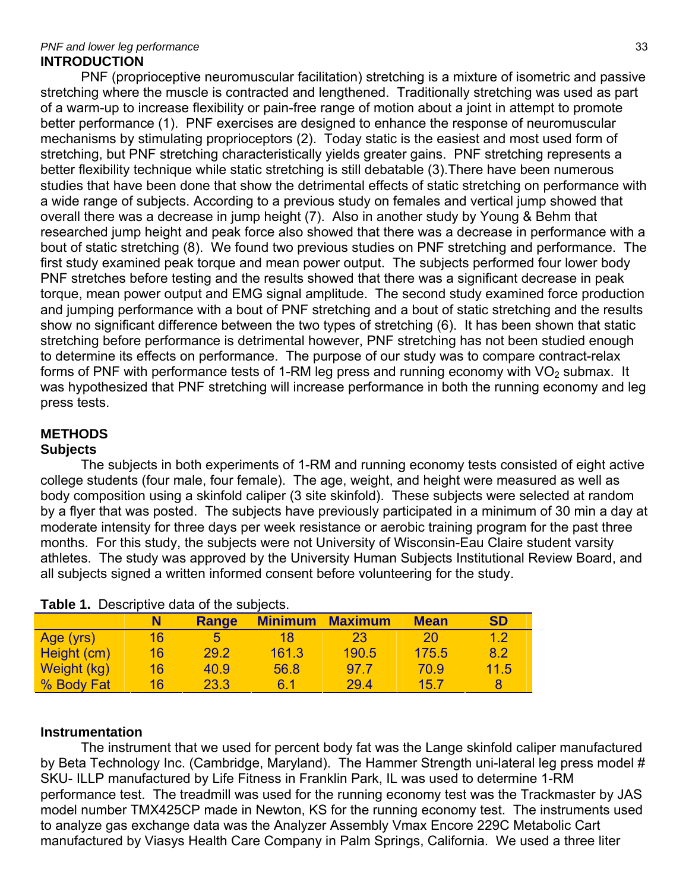#### *PNF and lower leg performance* 33 **INTRODUCTION**

PNF (proprioceptive neuromuscular facilitation) stretching is a mixture of isometric and passive stretching where the muscle is contracted and lengthened. Traditionally stretching was used as part of a warm-up to increase flexibility or pain-free range of motion about a joint in attempt to promote better performance (1). PNF exercises are designed to enhance the response of neuromuscular mechanisms by stimulating proprioceptors (2). Today static is the easiest and most used form of stretching, but PNF stretching characteristically yields greater gains. PNF stretching represents a better flexibility technique while static stretching is still debatable (3).There have been numerous studies that have been done that show the detrimental effects of static stretching on performance with a wide range of subjects. According to a previous study on females and vertical jump showed that overall there was a decrease in jump height (7). Also in another study by Young & Behm that researched jump height and peak force also showed that there was a decrease in performance with a bout of static stretching (8). We found two previous studies on PNF stretching and performance. The first study examined peak torque and mean power output. The subjects performed four lower body PNF stretches before testing and the results showed that there was a significant decrease in peak torque, mean power output and EMG signal amplitude. The second study examined force production and jumping performance with a bout of PNF stretching and a bout of static stretching and the results show no significant difference between the two types of stretching (6). It has been shown that static stretching before performance is detrimental however, PNF stretching has not been studied enough to determine its effects on performance. The purpose of our study was to compare contract-relax forms of PNF with performance tests of 1-RM leg press and running economy with  $VO<sub>2</sub>$  submax. It was hypothesized that PNF stretching will increase performance in both the running economy and leg press tests.

## **METHODS**

#### **Subjects**

The subjects in both experiments of 1-RM and running economy tests consisted of eight active college students (four male, four female). The age, weight, and height were measured as well as body composition using a skinfold caliper (3 site skinfold). These subjects were selected at random by a flyer that was posted. The subjects have previously participated in a minimum of 30 min a day at moderate intensity for three days per week resistance or aerobic training program for the past three months. For this study, the subjects were not University of Wisconsin-Eau Claire student varsity athletes. The study was approved by the University Human Subjects Institutional Review Board, and all subjects signed a written informed consent before volunteering for the study.

| <b>Table 1.</b> Descriptive data of the subjects. |    |       |                |                |             |           |
|---------------------------------------------------|----|-------|----------------|----------------|-------------|-----------|
|                                                   |    | Range | <b>Minimum</b> | <b>Maximum</b> | <b>Mean</b> | <b>SD</b> |
| Age (yrs)                                         | 16 | 5     | 18             | 23             | 20          | 1.2       |
| Height (cm)                                       | 16 | 29.2  | 161.3          | 190.5          | 175.5       | 8.2       |
| Weight (kg)                                       | 16 | 40.9  | 56.8           | 97.7           | 70.9        | 11.5      |
| % Body Fat                                        | 16 | 23.3  | 6 1            | 29.4           | 15.7        | 8         |

**Table 1.** Descriptive data of the subjects.

#### **Instrumentation**

The instrument that we used for percent body fat was the Lange skinfold caliper manufactured by Beta Technology Inc. (Cambridge, Maryland). The Hammer Strength uni-lateral leg press model # SKU- ILLP manufactured by Life Fitness in Franklin Park, IL was used to determine 1-RM performance test. The treadmill was used for the running economy test was the Trackmaster by JAS model number TMX425CP made in Newton, KS for the running economy test. The instruments used to analyze gas exchange data was the Analyzer Assembly Vmax Encore 229C Metabolic Cart manufactured by Viasys Health Care Company in Palm Springs, California. We used a three liter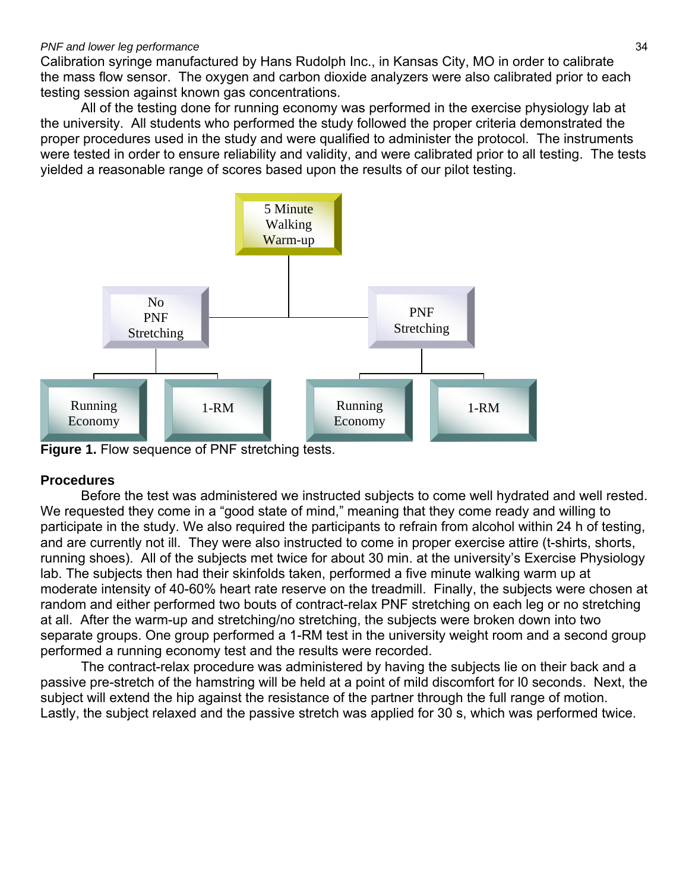Calibration syringe manufactured by Hans Rudolph Inc., in Kansas City, MO in order to calibrate the mass flow sensor. The oxygen and carbon dioxide analyzers were also calibrated prior to each testing session against known gas concentrations.

All of the testing done for running economy was performed in the exercise physiology lab at the university. All students who performed the study followed the proper criteria demonstrated the proper procedures used in the study and were qualified to administer the protocol. The instruments were tested in order to ensure reliability and validity, and were calibrated prior to all testing. The tests yielded a reasonable range of scores based upon the results of our pilot testing.



**Figure 1.** Flow sequence of PNF stretching tests.

## **Procedures**

Before the test was administered we instructed subjects to come well hydrated and well rested. We requested they come in a "good state of mind," meaning that they come ready and willing to participate in the study. We also required the participants to refrain from alcohol within 24 h of testing, and are currently not ill. They were also instructed to come in proper exercise attire (t-shirts, shorts, running shoes). All of the subjects met twice for about 30 min. at the university's Exercise Physiology lab. The subjects then had their skinfolds taken, performed a five minute walking warm up at moderate intensity of 40-60% heart rate reserve on the treadmill. Finally, the subjects were chosen at random and either performed two bouts of contract-relax PNF stretching on each leg or no stretching at all. After the warm-up and stretching/no stretching, the subjects were broken down into two separate groups. One group performed a 1-RM test in the university weight room and a second group performed a running economy test and the results were recorded.

The contract-relax procedure was administered by having the subjects lie on their back and a passive pre-stretch of the hamstring will be held at a point of mild discomfort for l0 seconds. Next, the subject will extend the hip against the resistance of the partner through the full range of motion. Lastly, the subject relaxed and the passive stretch was applied for 30 s, which was performed twice.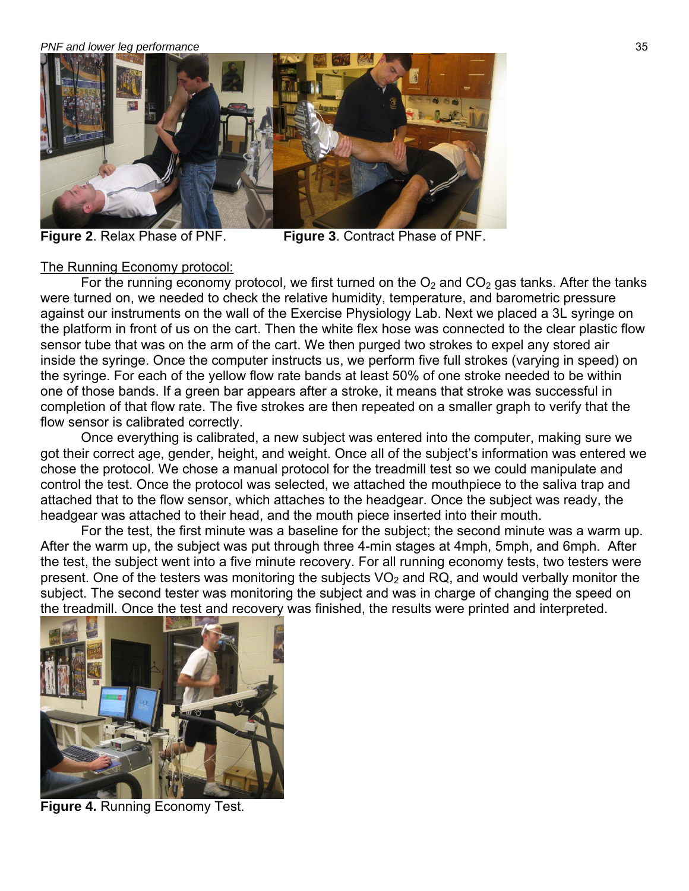#### *PNF and lower leg performance* 35



**Figure 2**. Relax Phase of PNF. **Figure 3**. Contract Phase of PNF.

#### The Running Economy protocol:

For the running economy protocol, we first turned on the  $O_2$  and  $CO_2$  gas tanks. After the tanks were turned on, we needed to check the relative humidity, temperature, and barometric pressure against our instruments on the wall of the Exercise Physiology Lab. Next we placed a 3L syringe on the platform in front of us on the cart. Then the white flex hose was connected to the clear plastic flow sensor tube that was on the arm of the cart. We then purged two strokes to expel any stored air inside the syringe. Once the computer instructs us, we perform five full strokes (varying in speed) on the syringe. For each of the yellow flow rate bands at least 50% of one stroke needed to be within one of those bands. If a green bar appears after a stroke, it means that stroke was successful in completion of that flow rate. The five strokes are then repeated on a smaller graph to verify that the flow sensor is calibrated correctly.

 Once everything is calibrated, a new subject was entered into the computer, making sure we got their correct age, gender, height, and weight. Once all of the subject's information was entered we chose the protocol. We chose a manual protocol for the treadmill test so we could manipulate and control the test. Once the protocol was selected, we attached the mouthpiece to the saliva trap and attached that to the flow sensor, which attaches to the headgear. Once the subject was ready, the headgear was attached to their head, and the mouth piece inserted into their mouth.

 For the test, the first minute was a baseline for the subject; the second minute was a warm up. After the warm up, the subject was put through three 4-min stages at 4mph, 5mph, and 6mph. After the test, the subject went into a five minute recovery. For all running economy tests, two testers were present. One of the testers was monitoring the subjects  $VO<sub>2</sub>$  and RQ, and would verbally monitor the subject. The second tester was monitoring the subject and was in charge of changing the speed on the treadmill. Once the test and recovery was finished, the results were printed and interpreted.



**Figure 4.** Running Economy Test.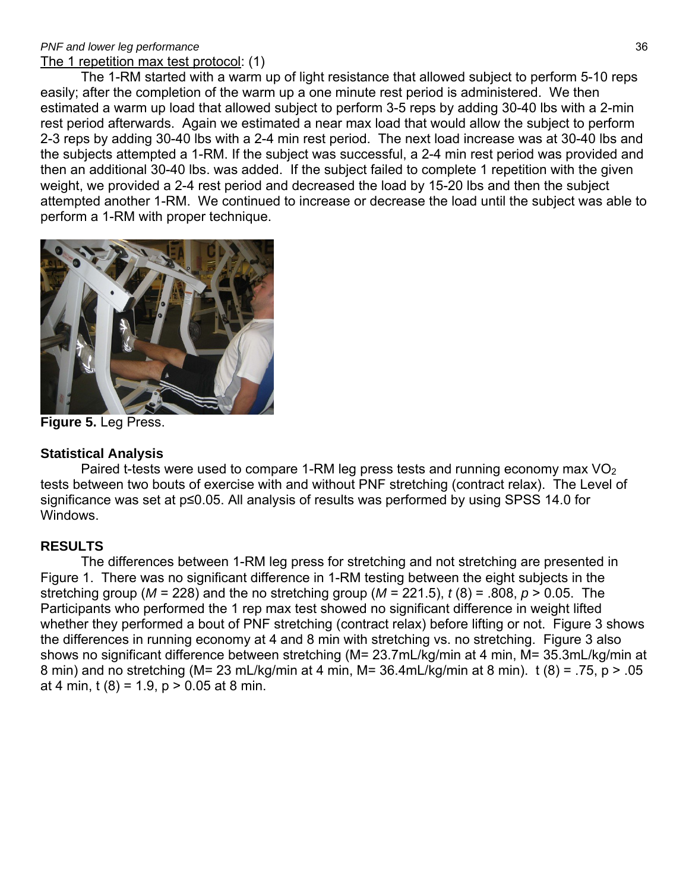#### *PNF and lower leg performance* 36 The 1 repetition max test protocol: (1)

The 1-RM started with a warm up of light resistance that allowed subject to perform 5-10 reps easily; after the completion of the warm up a one minute rest period is administered. We then estimated a warm up load that allowed subject to perform 3-5 reps by adding 30-40 lbs with a 2-min rest period afterwards. Again we estimated a near max load that would allow the subject to perform 2-3 reps by adding 30-40 lbs with a 2-4 min rest period. The next load increase was at 30-40 lbs and the subjects attempted a 1-RM. If the subject was successful, a 2-4 min rest period was provided and then an additional 30-40 lbs. was added. If the subject failed to complete 1 repetition with the given weight, we provided a 2-4 rest period and decreased the load by 15-20 lbs and then the subject attempted another 1-RM. We continued to increase or decrease the load until the subject was able to perform a 1-RM with proper technique.



**Figure 5.** Leg Press.

### **Statistical Analysis**

Paired t-tests were used to compare 1-RM leg press tests and running economy max  $VO<sub>2</sub>$ tests between two bouts of exercise with and without PNF stretching (contract relax). The Level of significance was set at p≤0.05. All analysis of results was performed by using SPSS 14.0 for Windows.

## **RESULTS**

The differences between 1-RM leg press for stretching and not stretching are presented in Figure 1. There was no significant difference in 1-RM testing between the eight subjects in the stretching group ( $M = 228$ ) and the no stretching group ( $M = 221.5$ ),  $t(8) = .808$ ,  $p > 0.05$ . The Participants who performed the 1 rep max test showed no significant difference in weight lifted whether they performed a bout of PNF stretching (contract relax) before lifting or not. Figure 3 shows the differences in running economy at 4 and 8 min with stretching vs. no stretching. Figure 3 also shows no significant difference between stretching (M= 23.7mL/kg/min at 4 min, M= 35.3mL/kg/min at 8 min) and no stretching (M= 23 mL/kg/min at 4 min, M= 36.4mL/kg/min at 8 min). t (8) = .75, p > .05 at 4 min, t  $(8) = 1.9$ , p  $> 0.05$  at 8 min.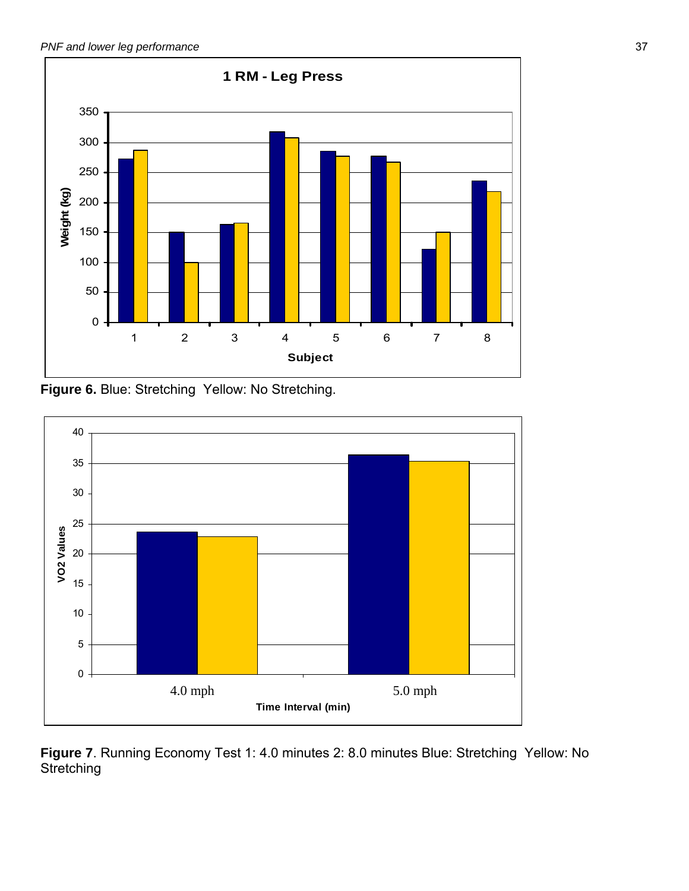

**Figure 6.** Blue: Stretching Yellow: No Stretching.



**Figure 7**. Running Economy Test 1: 4.0 minutes 2: 8.0 minutes Blue: Stretching Yellow: No **Stretching**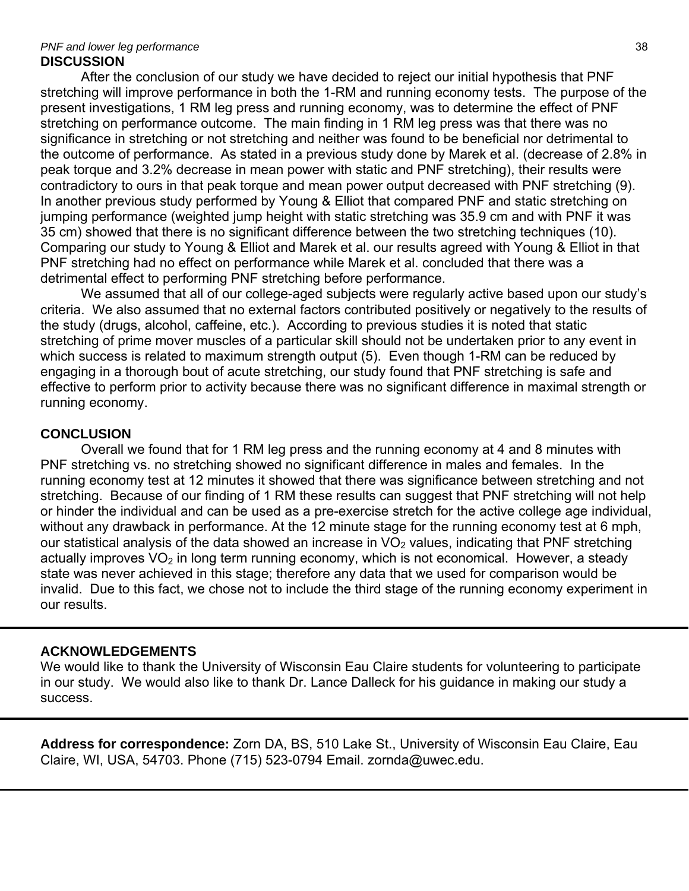#### *PNF and lower leg performance* 38 **DISCUSSION**

After the conclusion of our study we have decided to reject our initial hypothesis that PNF stretching will improve performance in both the 1-RM and running economy tests. The purpose of the present investigations, 1 RM leg press and running economy, was to determine the effect of PNF stretching on performance outcome. The main finding in 1 RM leg press was that there was no significance in stretching or not stretching and neither was found to be beneficial nor detrimental to the outcome of performance. As stated in a previous study done by Marek et al. (decrease of 2.8% in peak torque and 3.2% decrease in mean power with static and PNF stretching), their results were contradictory to ours in that peak torque and mean power output decreased with PNF stretching (9). In another previous study performed by Young & Elliot that compared PNF and static stretching on jumping performance (weighted jump height with static stretching was 35.9 cm and with PNF it was 35 cm) showed that there is no significant difference between the two stretching techniques (10). Comparing our study to Young & Elliot and Marek et al. our results agreed with Young & Elliot in that PNF stretching had no effect on performance while Marek et al. concluded that there was a detrimental effect to performing PNF stretching before performance.

We assumed that all of our college-aged subjects were regularly active based upon our study's criteria. We also assumed that no external factors contributed positively or negatively to the results of the study (drugs, alcohol, caffeine, etc.). According to previous studies it is noted that static stretching of prime mover muscles of a particular skill should not be undertaken prior to any event in which success is related to maximum strength output (5).Even though 1-RM can be reduced by engaging in a thorough bout of acute stretching, our study found that PNF stretching is safe and effective to perform prior to activity because there was no significant difference in maximal strength or running economy.

### **CONCLUSION**

Overall we found that for 1 RM leg press and the running economy at 4 and 8 minutes with PNF stretching vs. no stretching showed no significant difference in males and females. In the running economy test at 12 minutes it showed that there was significance between stretching and not stretching. Because of our finding of 1 RM these results can suggest that PNF stretching will not help or hinder the individual and can be used as a pre-exercise stretch for the active college age individual, without any drawback in performance. At the 12 minute stage for the running economy test at 6 mph, our statistical analysis of the data showed an increase in  $VO<sub>2</sub>$  values, indicating that PNF stretching actually improves  $VO<sub>2</sub>$  in long term running economy, which is not economical. However, a steady state was never achieved in this stage; therefore any data that we used for comparison would be invalid. Due to this fact, we chose not to include the third stage of the running economy experiment in our results.

#### **ACKNOWLEDGEMENTS**

We would like to thank the University of Wisconsin Eau Claire students for volunteering to participate in our study. We would also like to thank Dr. Lance Dalleck for his guidance in making our study a success.

**Address for correspondence:** Zorn DA, BS, 510 Lake St., University of Wisconsin Eau Claire, Eau Claire, WI, USA, 54703. Phone (715) 523-0794 Email. zornda@uwec.edu.